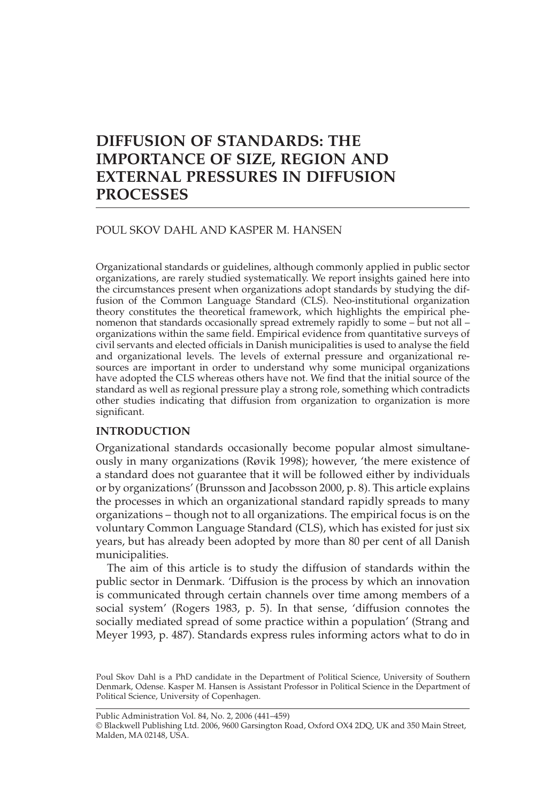# **DIFFUSION OF STANDARDS: THE IMPORTANCE OF SIZE, REGION AND EXTERNAL PRESSURES IN DIFFUSION PROCESSES**

# POUL SKOV DAHL AND KASPER M. HANSEN

 Organizational standards or guidelines, although commonly applied in public sector organizations, are rarely studied systematically. We report insights gained here into the circumstances present when organizations adopt standards by studying the diffusion of the Common Language Standard (CLS). Neo-institutional organization theory constitutes the theoretical framework, which highlights the empirical phenomenon that standards occasionally spread extremely rapidly to some – but not all – organizations within the same field. Empirical evidence from quantitative surveys of civil servants and elected officials in Danish municipalities is used to analyse the field and organizational levels. The levels of external pressure and organizational resources are important in order to understand why some municipal organizations have adopted the CLS whereas others have not. We find that the initial source of the standard as well as regional pressure play a strong role, something which contradicts other studies indicating that diffusion from organization to organization is more significant.

### **INTRODUCTION**

 Organizational standards occasionally become popular almost simultaneously in many organizations (Røvik 1998); however, 'the mere existence of a standard does not guarantee that it will be followed either by individuals or by organizations' (Brunsson and Jacobsson 2000, p. 8). This article explains the processes in which an organizational standard rapidly spreads to many organizations – though not to all organizations. The empirical focus is on the voluntary Common Language Standard (CLS), which has existed for just six years, but has already been adopted by more than 80 per cent of all Danish municipalities.

 The aim of this article is to study the diffusion of standards within the public sector in Denmark. 'Diffusion is the process by which an innovation is communicated through certain channels over time among members of a social system' (Rogers 1983, p. 5). In that sense, 'diffusion connotes the socially mediated spread of some practice within a population' (Strang and Meyer 1993, p. 487). Standards express rules informing actors what to do in

Poul Skov Dahl is a PhD candidate in the Department of Political Science, University of Southern Denmark, Odense. Kasper M. Hansen is Assistant Professor in Political Science in the Department of Political Science, University of Copenhagen.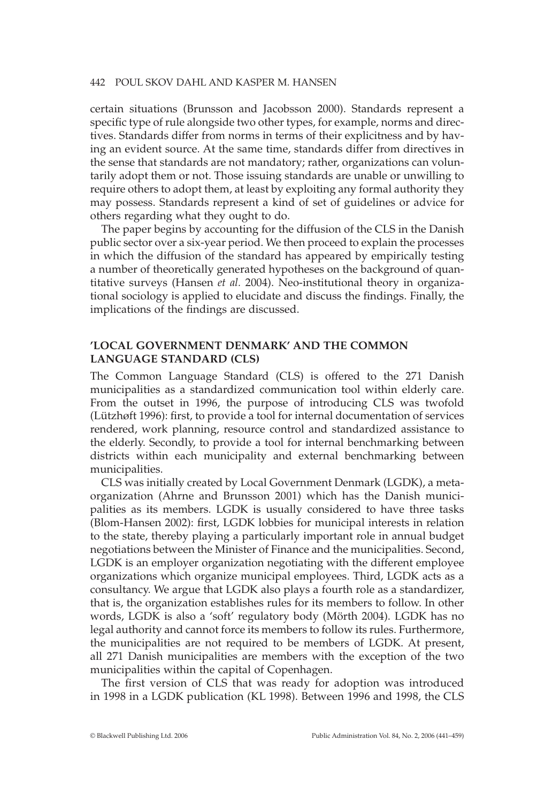certain situations (Brunsson and Jacobsson 2000). Standards represent a specific type of rule alongside two other types, for example, norms and directives. Standards differ from norms in terms of their explicitness and by having an evident source. At the same time, standards differ from directives in the sense that standards are not mandatory; rather, organizations can voluntarily adopt them or not. Those issuing standards are unable or unwilling to require others to adopt them, at least by exploiting any formal authority they may possess. Standards represent a kind of set of guidelines or advice for others regarding what they ought to do.

 The paper begins by accounting for the diffusion of the CLS in the Danish public sector over a six-year period. We then proceed to explain the processes in which the diffusion of the standard has appeared by empirically testing a number of theoretically generated hypotheses on the background of quantitative surveys (Hansen *et al.* 2004). Neo-institutional theory in organizational sociology is applied to elucidate and discuss the findings. Finally, the implications of the findings are discussed.

# **'LOCAL GOVERNMENT DENMARK' AND THE COMMON LANGUAGE STANDARD (CLS)**

 The Common Language Standard (CLS) is offered to the 271 Danish municipalities as a standardized communication tool within elderly care. From the outset in 1996, the purpose of introducing CLS was twofold (Lützhøft 1996): first, to provide a tool for internal documentation of services rendered, work planning, resource control and standardized assistance to the elderly. Secondly, to provide a tool for internal benchmarking between districts within each municipality and external benchmarking between municipalities.

 CLS was initially created by Local Government Denmark (LGDK), a metaorganization (Ahrne and Brunsson 2001) which has the Danish municipalities as its members. LGDK is usually considered to have three tasks (Blom-Hansen 2002): first, LGDK lobbies for municipal interests in relation to the state, thereby playing a particularly important role in annual budget negotiations between the Minister of Finance and the municipalities. Second, LGDK is an employer organization negotiating with the different employee organizations which organize municipal employees. Third, LGDK acts as a consultancy. We argue that LGDK also plays a fourth role as a standardizer, that is, the organization establishes rules for its members to follow. In other words, LGDK is also a 'soft' regulatory body (Mörth 2004). LGDK has no legal authority and cannot force its members to follow its rules. Furthermore, the municipalities are not required to be members of LGDK. At present, all 271 Danish municipalities are members with the exception of the two municipalities within the capital of Copenhagen.

The first version of CLS that was ready for adoption was introduced in 1998 in a LGDK publication (KL 1998). Between 1996 and 1998, the CLS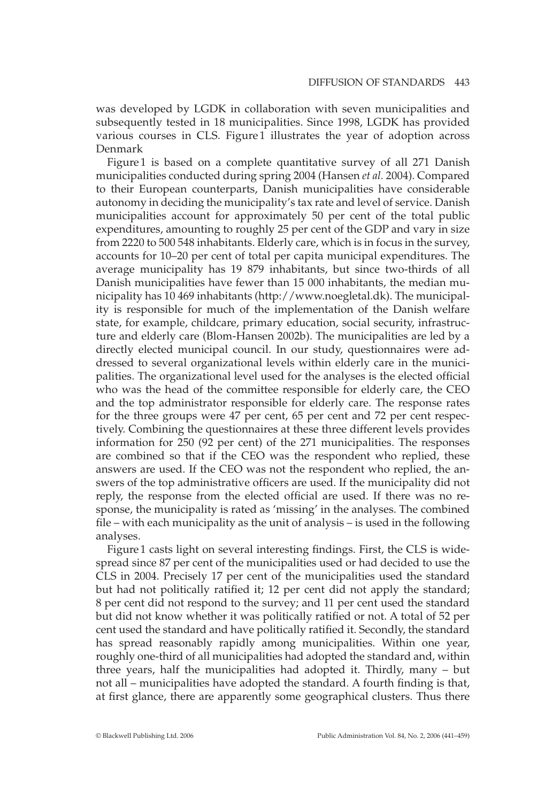was developed by LGDK in collaboration with seven municipalities and subsequently tested in 18 municipalities. Since 1998, LGDK has provided various courses in CLS. Figure 1 illustrates the year of adoption across Denmark

 Figure 1 is based on a complete quantitative survey of all 271 Danish municipalities conducted during spring 2004 ( Hansen *et al.* 2004 ). Compared to their European counterparts, Danish municipalities have considerable autonomy in deciding the municipality's tax rate and level of service. Danish municipalities account for approximately 50 per cent of the total public expenditures, amounting to roughly 25 per cent of the GDP and vary in size from 2220 to 500 548 inhabitants. Elderly care, which is in focus in the survey, accounts for 10–20 per cent of total per capita municipal expenditures. The average municipality has 19 879 inhabitants, but since two-thirds of all Danish municipalities have fewer than 15 000 inhabitants, the median municipality has 10 469 inhabitants ( http://www.noegletal.dk ). The municipality is responsible for much of the implementation of the Danish welfare state, for example, childcare, primary education, social security, infrastructure and elderly care (Blom-Hansen 2002b). The municipalities are led by a directly elected municipal council. In our study, questionnaires were addressed to several organizational levels within elderly care in the municipalities. The organizational level used for the analyses is the elected official who was the head of the committee responsible for elderly care, the CEO and the top administrator responsible for elderly care. The response rates for the three groups were 47 per cent, 65 per cent and 72 per cent respectively. Combining the questionnaires at these three different levels provides information for 250 (92 per cent) of the 271 municipalities. The responses are combined so that if the CEO was the respondent who replied, these answers are used. If the CEO was not the respondent who replied, the answers of the top administrative officers are used. If the municipality did not reply, the response from the elected official are used. If there was no response, the municipality is rated as 'missing' in the analyses. The combined file – with each municipality as the unit of analysis – is used in the following analyses.

Figure 1 casts light on several interesting findings. First, the CLS is widespread since 87 per cent of the municipalities used or had decided to use the CLS in 2004. Precisely 17 per cent of the municipalities used the standard but had not politically ratified it; 12 per cent did not apply the standard; 8 per cent did not respond to the survey; and 11 per cent used the standard but did not know whether it was politically ratified or not. A total of 52 per cent used the standard and have politically ratified it. Secondly, the standard has spread reasonably rapidly among municipalities. Within one year, roughly one-third of all municipalities had adopted the standard and, within three years, half the municipalities had adopted it. Thirdly, many – but not all – municipalities have adopted the standard. A fourth finding is that, at first glance, there are apparently some geographical clusters. Thus there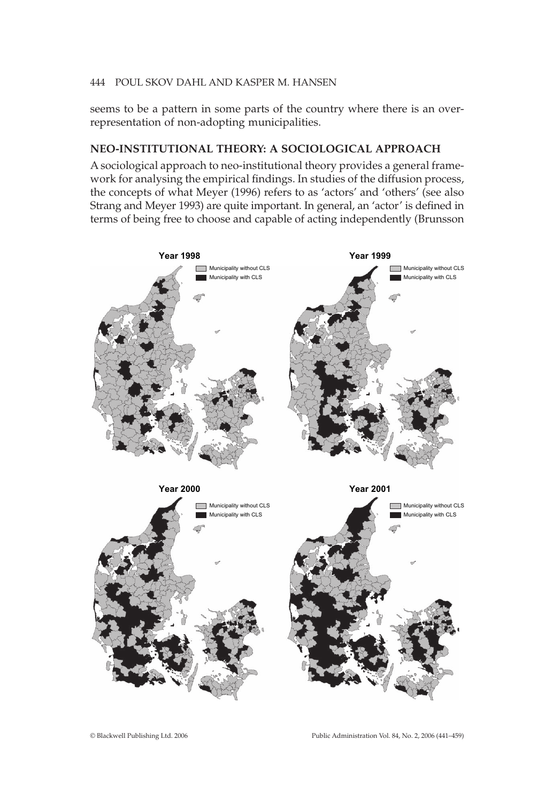seems to be a pattern in some parts of the country where there is an overrepresentation of non-adopting municipalities.

# **NEO-INSTITUTIONAL THEORY: A SOCIOLOGICAL APPROACH**

 A sociological approach to neo-institutional theory provides a general framework for analysing the empirical findings. In studies of the diffusion process, the concepts of what Meyer (1996) refers to as 'actors' and 'others' (see also Strang and Meyer 1993) are quite important. In general, an 'actor' is defined in terms of being free to choose and capable of acting independently (Brunsson

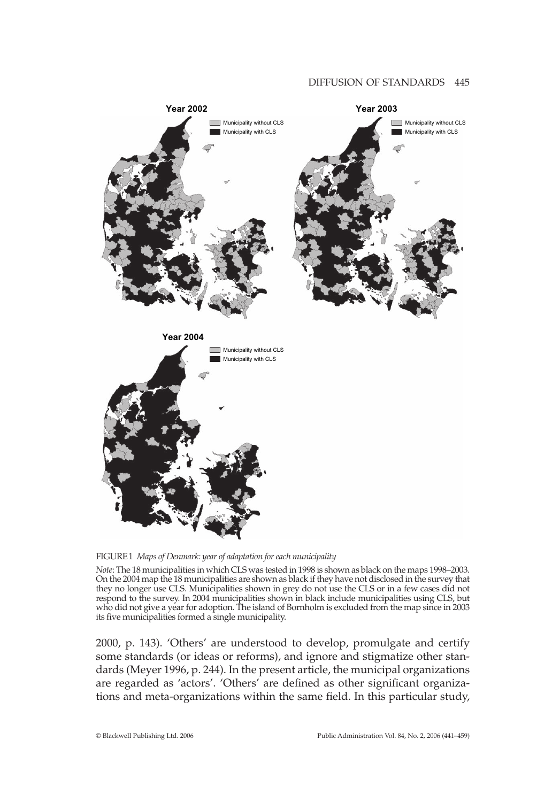

FIGURE 1 *Maps of Denmark: year of adaptation for each municipality*

*Note*: The 18 municipalities in which CLS was tested in 1998 is shown as black on the maps 1998–2003. On the 2004 map the 18 municipalities are shown as black if they have not disclosed in the survey that they no longer use CLS. Municipalities shown in grey do not use the CLS or in a few cases did not respond to the survey. In 2004 municipalities shown in black include municipalities using CLS, but who did not give a year for adoption. The island of Bornholm is excluded from the map since in 2003 its five municipalities formed a single municipality.

2000, p. 143). 'Others' are understood to develop, promulgate and certify some standards (or ideas or reforms), and ignore and stigmatize other standards (Meyer 1996, p. 244). In the present article, the municipal organizations are regarded as 'actors'. 'Others' are defined as other significant organizations and meta-organizations within the same field. In this particular study,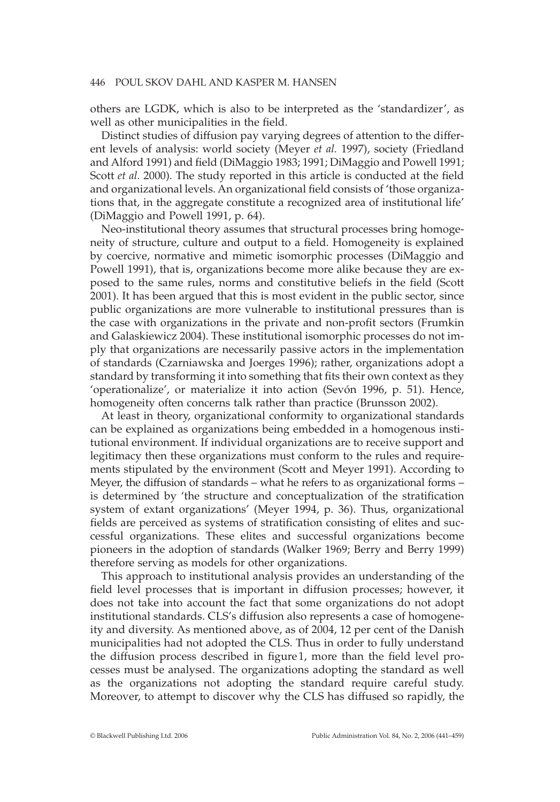others are LGDK, which is also to be interpreted as the 'standardizer', as well as other municipalities in the field.

 Distinct studies of diffusion pay varying degrees of attention to the different levels of analysis: world society (Meyer *et al.* 1997), society (Friedland and Alford 1991) and field (DiMaggio 1983; 1991; DiMaggio and Powell 1991; Scott *et al.* 2000). The study reported in this article is conducted at the field and organizational levels. An organizational field consists of 'those organizations that, in the aggregate constitute a recognized area of institutional life' (DiMaggio and Powell 1991, p. 64).

 Neo-institutional theory assumes that structural processes bring homogeneity of structure, culture and output to a field. Homogeneity is explained by coercive, normative and mimetic isomorphic processes (DiMaggio and Powell 1991), that is, organizations become more alike because they are exposed to the same rules, norms and constitutive beliefs in the field (Scott 2001). It has been argued that this is most evident in the public sector, since public organizations are more vulnerable to institutional pressures than is the case with organizations in the private and non-profit sectors (Frumkin) and Galaskiewicz 2004). These institutional isomorphic processes do not imply that organizations are necessarily passive actors in the implementation of standards ( Czarniawska and Joerges 1996 ); rather, organizations adopt a standard by transforming it into something that fits their own context as they ' operationalize', or materialize it into action (Sevón 1996, p. 51). Hence, homogeneity often concerns talk rather than practice (Brunsson 2002).

 At least in theory, organizational conformity to organizational standards can be explained as organizations being embedded in a homogenous institutional environment. If individual organizations are to receive support and legitimacy then these organizations must conform to the rules and requirements stipulated by the environment (Scott and Meyer 1991). According to Meyer, the diffusion of standards – what he refers to as organizational forms – is determined by 'the structure and conceptualization of the stratification system of extant organizations' (Meyer 1994, p. 36). Thus, organizational fields are perceived as systems of stratification consisting of elites and successful organizations. These elites and successful organizations become pioneers in the adoption of standards (Walker 1969; Berry and Berry 1999) therefore serving as models for other organizations.

 This approach to institutional analysis provides an understanding of the field level processes that is important in diffusion processes; however, it does not take into account the fact that some organizations do not adopt institutional standards. CLS's diffusion also represents a case of homogeneity and diversity. As mentioned above, as of 2004, 12 per cent of the Danish municipalities had not adopted the CLS. Thus in order to fully understand the diffusion process described in figure 1, more than the field level processes must be analysed. The organizations adopting the standard as well as the organizations not adopting the standard require careful study. Moreover, to attempt to discover why the CLS has diffused so rapidly, the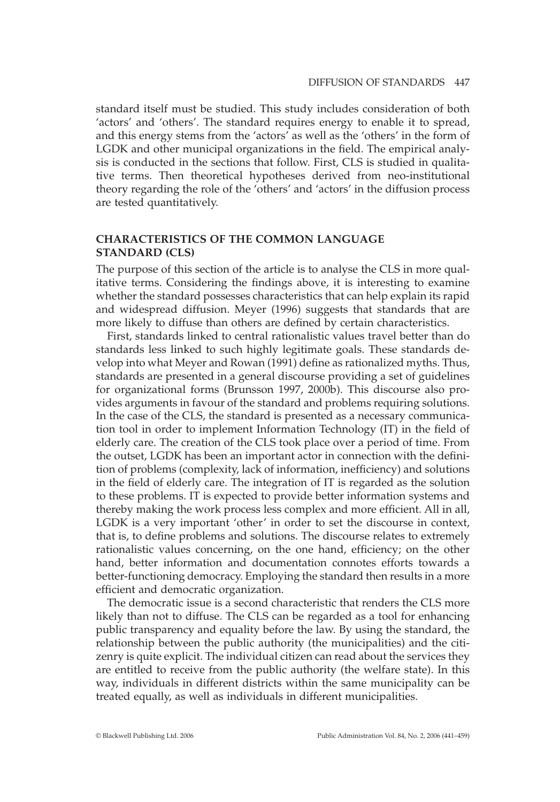standard itself must be studied. This study includes consideration of both 'actors' and 'others'. The standard requires energy to enable it to spread, and this energy stems from the 'actors' as well as the 'others' in the form of LGDK and other municipal organizations in the field. The empirical analysis is conducted in the sections that follow. First, CLS is studied in qualitative terms. Then theoretical hypotheses derived from neo-institutional theory regarding the role of the 'others' and 'actors' in the diffusion process are tested quantitatively.

# **CHARACTERISTICS OF THE COMMON LANGUAGE STANDARD (CLS)**

 The purpose of this section of the article is to analyse the CLS in more qualitative terms. Considering the findings above, it is interesting to examine whether the standard possesses characteristics that can help explain its rapid and widespread diffusion. Meyer (1996) suggests that standards that are more likely to diffuse than others are defined by certain characteristics.

 First, standards linked to central rationalistic values travel better than do standards less linked to such highly legitimate goals. These standards develop into what Meyer and Rowan (1991) define as rationalized myths. Thus, standards are presented in a general discourse providing a set of guidelines for organizational forms (Brunsson 1997, 2000b). This discourse also provides arguments in favour of the standard and problems requiring solutions. In the case of the CLS, the standard is presented as a necessary communication tool in order to implement Information Technology (IT) in the field of elderly care. The creation of the CLS took place over a period of time. From the outset, LGDK has been an important actor in connection with the definition of problems (complexity, lack of information, inefficiency) and solutions in the field of elderly care. The integration of IT is regarded as the solution to these problems. IT is expected to provide better information systems and thereby making the work process less complex and more efficient. All in all, LGDK is a very important 'other' in order to set the discourse in context, that is, to define problems and solutions. The discourse relates to extremely rationalistic values concerning, on the one hand, efficiency; on the other hand, better information and documentation connotes efforts towards a better-functioning democracy. Employing the standard then results in a more efficient and democratic organization.

 The democratic issue is a second characteristic that renders the CLS more likely than not to diffuse. The CLS can be regarded as a tool for enhancing public transparency and equality before the law. By using the standard, the relationship between the public authority (the municipalities) and the citizenry is quite explicit. The individual citizen can read about the services they are entitled to receive from the public authority (the welfare state). In this way, individuals in different districts within the same municipality can be treated equally, as well as individuals in different municipalities.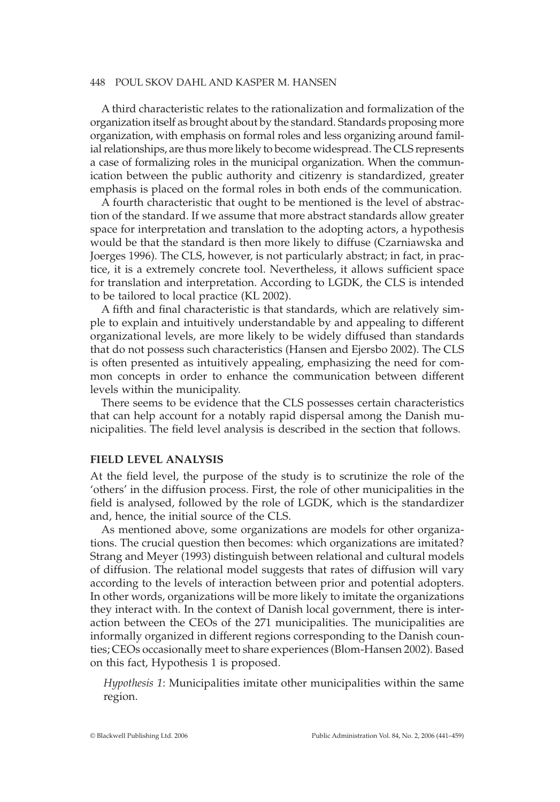A third characteristic relates to the rationalization and formalization of the organization itself as brought about by the standard. Standards proposing more organization, with emphasis on formal roles and less organizing around familial relationships, are thus more likely to become widespread. The CLS represents a case of formalizing roles in the municipal organization. When the communication between the public authority and citizenry is standardized, greater emphasis is placed on the formal roles in both ends of the communication.

 A fourth characteristic that ought to be mentioned is the level of abstraction of the standard. If we assume that more abstract standards allow greater space for interpretation and translation to the adopting actors, a hypothesis would be that the standard is then more likely to diffuse (Czarniawska and Joerges 1996). The CLS, however, is not particularly abstract; in fact, in practice, it is a extremely concrete tool. Nevertheless, it allows sufficient space for translation and interpretation. According to LGDK, the CLS is intended to be tailored to local practice (KL 2002).

A fifth and final characteristic is that standards, which are relatively simple to explain and intuitively understandable by and appealing to different organizational levels, are more likely to be widely diffused than standards that do not possess such characteristics (Hansen and Ejersbo 2002). The CLS is often presented as intuitively appealing, emphasizing the need for common concepts in order to enhance the communication between different levels within the municipality.

 There seems to be evidence that the CLS possesses certain characteristics that can help account for a notably rapid dispersal among the Danish municipalities. The field level analysis is described in the section that follows.

### **FIELD LEVEL ANALYSIS**

At the field level, the purpose of the study is to scrutinize the role of the ' others ' in the diffusion process. First, the role of other municipalities in the field is analysed, followed by the role of LGDK, which is the standardizer and, hence, the initial source of the CLS.

 As mentioned above, some organizations are models for other organizations. The crucial question then becomes: which organizations are imitated? Strang and Meyer (1993) distinguish between relational and cultural models of diffusion. The relational model suggests that rates of diffusion will vary according to the levels of interaction between prior and potential adopters. In other words, organizations will be more likely to imitate the organizations they interact with. In the context of Danish local government, there is interaction between the CEOs of the 271 municipalities. The municipalities are informally organized in different regions corresponding to the Danish counties; CEOs occasionally meet to share experiences (Blom-Hansen 2002). Based on this fact, Hypothesis 1 is proposed.

*Hypothesis 1* : Municipalities imitate other municipalities within the same region.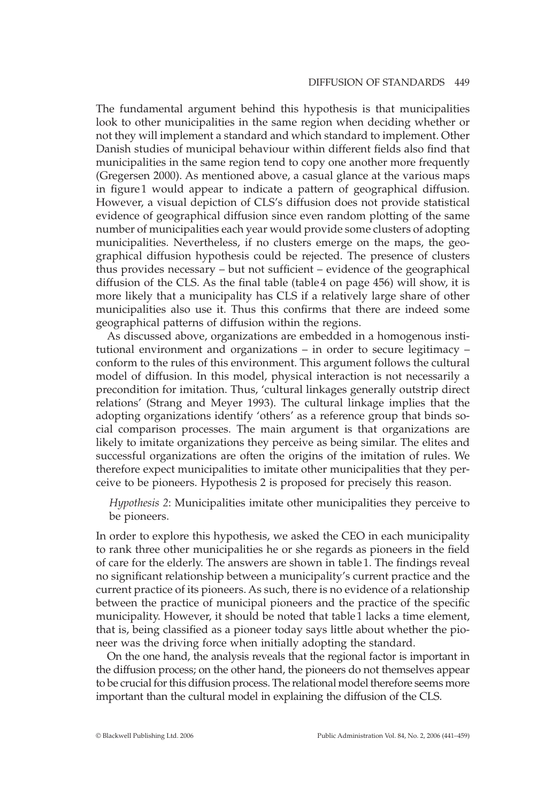The fundamental argument behind this hypothesis is that municipalities look to other municipalities in the same region when deciding whether or not they will implement a standard and which standard to implement. Other Danish studies of municipal behaviour within different fields also find that municipalities in the same region tend to copy one another more frequently (Gregersen 2000). As mentioned above, a casual glance at the various maps in figure 1 would appear to indicate a pattern of geographical diffusion. However, a visual depiction of CLS's diffusion does not provide statistical evidence of geographical diffusion since even random plotting of the same number of municipalities each year would provide some clusters of adopting municipalities. Nevertheless, if no clusters emerge on the maps, the geographical diffusion hypothesis could be rejected. The presence of clusters thus provides necessary – but not sufficient – evidence of the geographical diffusion of the CLS. As the final table (table  $4$  on page  $456$ ) will show, it is more likely that a municipality has CLS if a relatively large share of other municipalities also use it. Thus this confirms that there are indeed some geographical patterns of diffusion within the regions.

 As discussed above, organizations are embedded in a homogenous institutional environment and organizations – in order to secure legitimacy – conform to the rules of this environment. This argument follows the cultural model of diffusion. In this model, physical interaction is not necessarily a precondition for imitation. Thus, 'cultural linkages generally outstrip direct relations' (Strang and Meyer 1993). The cultural linkage implies that the adopting organizations identify 'others' as a reference group that binds social comparison processes. The main argument is that organizations are likely to imitate organizations they perceive as being similar. The elites and successful organizations are often the origins of the imitation of rules. We therefore expect municipalities to imitate other municipalities that they perceive to be pioneers. Hypothesis 2 is proposed for precisely this reason.

*Hypothesis 2*: Municipalities imitate other municipalities they perceive to be pioneers.

 In order to explore this hypothesis, we asked the CEO in each municipality to rank three other municipalities he or she regards as pioneers in the field of care for the elderly. The answers are shown in table 1. The findings reveal no significant relationship between a municipality's current practice and the current practice of its pioneers. As such, there is no evidence of a relationship between the practice of municipal pioneers and the practice of the specific municipality. However, it should be noted that table 1 lacks a time element, that is, being classified as a pioneer today says little about whether the pioneer was the driving force when initially adopting the standard.

 On the one hand, the analysis reveals that the regional factor is important in the diffusion process; on the other hand, the pioneers do not themselves appear to be crucial for this diffusion process. The relational model therefore seems more important than the cultural model in explaining the diffusion of the CLS.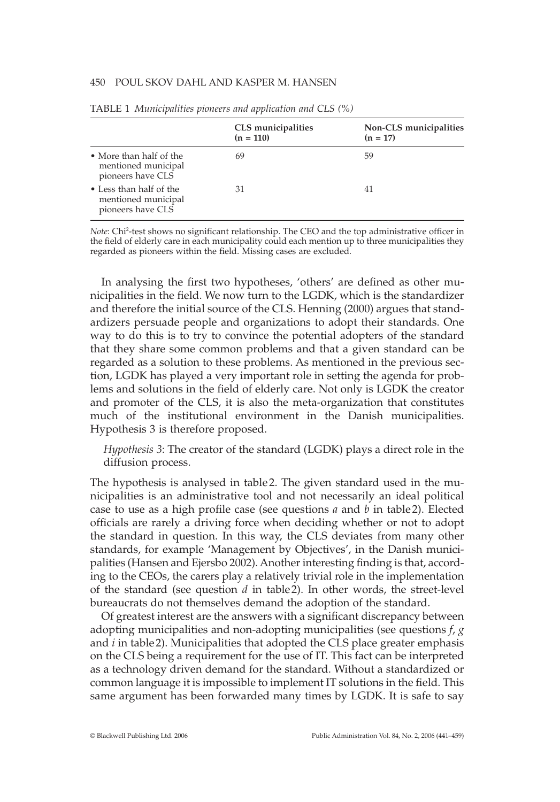#### 450 POUL SKOV DAHL AND KASPER M. HANSEN

|                                                                     | CLS municipalities<br>$(n = 110)$ | Non-CLS municipalities<br>$(n = 17)$ |  |  |
|---------------------------------------------------------------------|-----------------------------------|--------------------------------------|--|--|
| • More than half of the<br>mentioned municipal<br>pioneers have CLS | 69                                | 59                                   |  |  |
| • Less than half of the<br>mentioned municipal<br>pioneers have CLS | 31                                | 41                                   |  |  |

| TABLE 1 Municipalities pioneers and application and CLS (%) |  |  |  |
|-------------------------------------------------------------|--|--|--|
|-------------------------------------------------------------|--|--|--|

*Note*: Chi<sup>2</sup>-test shows no significant relationship. The CEO and the top administrative officer in the field of elderly care in each municipality could each mention up to three municipalities they regarded as pioneers within the field. Missing cases are excluded.

In analysing the first two hypotheses, 'others' are defined as other municipalities in the field. We now turn to the LGDK, which is the standardizer and therefore the initial source of the CLS. Henning (2000) argues that standardizers persuade people and organizations to adopt their standards. One way to do this is to try to convince the potential adopters of the standard that they share some common problems and that a given standard can be regarded as a solution to these problems. As mentioned in the previous section, LGDK has played a very important role in setting the agenda for problems and solutions in the field of elderly care. Not only is LGDK the creator and promoter of the CLS, it is also the meta-organization that constitutes much of the institutional environment in the Danish municipalities. Hypothesis 3 is therefore proposed.

*Hypothesis 3* : The creator of the standard (LGDK) plays a direct role in the diffusion process.

 The hypothesis is analysed in table 2. The given standard used in the municipalities is an administrative tool and not necessarily an ideal political case to use as a high profile case (see questions *a* and *b* in table 2). Elected officials are rarely a driving force when deciding whether or not to adopt the standard in question. In this way, the CLS deviates from many other standards, for example 'Management by Objectives', in the Danish municipalities (Hansen and Ejersbo 2002). Another interesting finding is that, according to the CEOs, the carers play a relatively trivial role in the implementation of the standard (see question  $d$  in table 2). In other words, the street-level bureaucrats do not themselves demand the adoption of the standard.

Of greatest interest are the answers with a significant discrepancy between adopting municipalities and non-adopting municipalities (see questions *f* , *g* and  $i$  in table 2). Municipalities that adopted the CLS place greater emphasis on the CLS being a requirement for the use of IT. This fact can be interpreted as a technology driven demand for the standard. Without a standardized or common language it is impossible to implement IT solutions in the field. This same argument has been forwarded many times by LGDK. It is safe to say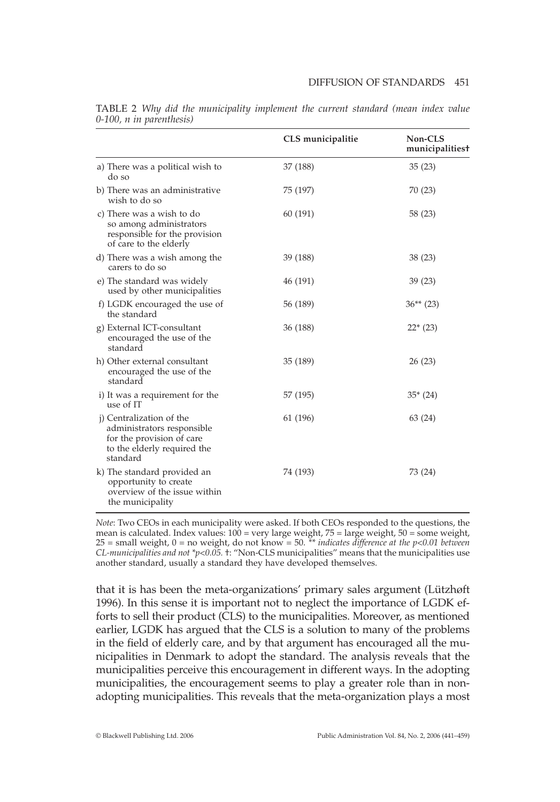|                                                                                                                                | CLS municipalitie | Non-CLS<br>municipalitiest |
|--------------------------------------------------------------------------------------------------------------------------------|-------------------|----------------------------|
| a) There was a political wish to<br>do so                                                                                      | 37 (188)          | 35(23)                     |
| b) There was an administrative<br>wish to do so                                                                                | 75 (197)          | 70 (23)                    |
| c) There was a wish to do<br>so among administrators<br>responsible for the provision<br>of care to the elderly                | 60 (191)          | 58 (23)                    |
| d) There was a wish among the<br>carers to do so                                                                               | 39 (188)          | 38 (23)                    |
| e) The standard was widely<br>used by other municipalities                                                                     | 46 (191)          | 39(23)                     |
| f) LGDK encouraged the use of<br>the standard                                                                                  | 56 (189)          | $36**$ (23)                |
| g) External ICT-consultant<br>encouraged the use of the<br>standard                                                            | 36 (188)          | $22*(23)$                  |
| h) Other external consultant<br>encouraged the use of the<br>standard                                                          | 35 (189)          | 26(23)                     |
| i) It was a requirement for the<br>use of IT                                                                                   | 57 (195)          | $35*(24)$                  |
| j) Centralization of the<br>administrators responsible<br>for the provision of care<br>to the elderly required the<br>standard | 61 (196)          | 63 (24)                    |
| k) The standard provided an<br>opportunity to create<br>overview of the issue within<br>the municipality                       | 74 (193)          | 73 (24)                    |

 TABLE 2 *Why did the municipality implement the current standard (mean index value 0-100, n in parenthesis)*

 *Note* : Two CEOs in each municipality were asked. If both CEOs responded to the questions, the mean is calculated. Index values: 100 = very large weight, 75 = large weight, 50 = some weight,  $25 =$  small weight,  $0 =$  no weight, do not know = 50. \*\* *indicates difference at the p<0.01 between*  $CL-minicipalities and not *  $p<0.05$ .  $t$ : "Non-CLS municipalities" means that the municipalities use$ another standard, usually a standard they have developed themselves.

that it is has been the meta-organizations' primary sales argument (Lützhøft) 1996). In this sense it is important not to neglect the importance of LGDK efforts to sell their product (CLS) to the municipalities. Moreover, as mentioned earlier, LGDK has argued that the CLS is a solution to many of the problems in the field of elderly care, and by that argument has encouraged all the municipalities in Denmark to adopt the standard. The analysis reveals that the municipalities perceive this encouragement in different ways. In the adopting municipalities, the encouragement seems to play a greater role than in nonadopting municipalities. This reveals that the meta-organization plays a most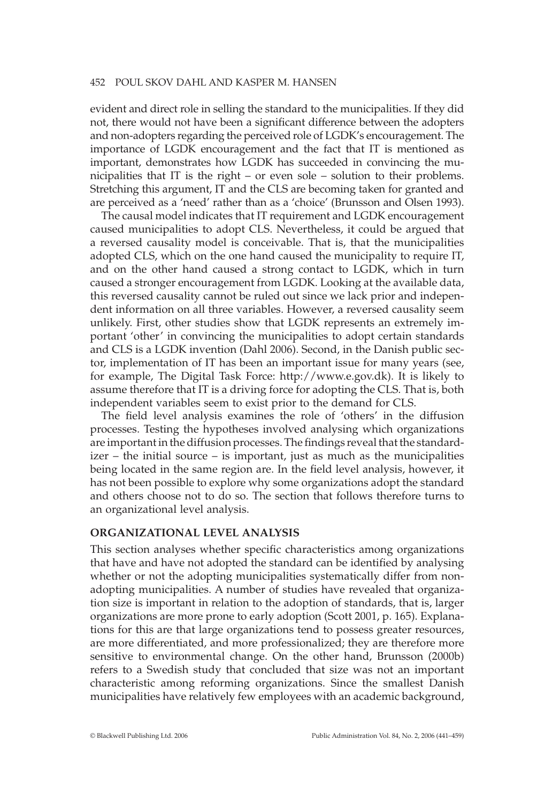evident and direct role in selling the standard to the municipalities. If they did not, there would not have been a significant difference between the adopters and non-adopters regarding the perceived role of LGDK's encouragement. The importance of LGDK encouragement and the fact that IT is mentioned as important, demonstrates how LGDK has succeeded in convincing the municipalities that IT is the right – or even sole – solution to their problems. Stretching this argument, IT and the CLS are becoming taken for granted and are perceived as a 'need' rather than as a 'choice' (Brunsson and Olsen 1993).

 The causal model indicates that IT requirement and LGDK encouragement caused municipalities to adopt CLS. Nevertheless, it could be argued that a reversed causality model is conceivable. That is, that the municipalities adopted CLS, which on the one hand caused the municipality to require IT, and on the other hand caused a strong contact to LGDK, which in turn caused a stronger encouragement from LGDK. Looking at the available data, this reversed causality cannot be ruled out since we lack prior and independent information on all three variables. However, a reversed causality seem unlikely. First, other studies show that LGDK represents an extremely important 'other' in convincing the municipalities to adopt certain standards and CLS is a LGDK invention (Dahl 2006). Second, in the Danish public sector, implementation of IT has been an important issue for many years (see, for example, The Digital Task Force: http://www.e.gov.dk). It is likely to assume therefore that IT is a driving force for adopting the CLS. That is, both independent variables seem to exist prior to the demand for CLS.

The field level analysis examines the role of 'others' in the diffusion processes. Testing the hypotheses involved analysing which organizations are important in the diffusion processes. The findings reveal that the standardizer – the initial source – is important, just as much as the municipalities being located in the same region are. In the field level analysis, however, it has not been possible to explore why some organizations adopt the standard and others choose not to do so. The section that follows therefore turns to an organizational level analysis.

### **ORGANIZATIONAL LEVEL ANALYSIS**

This section analyses whether specific characteristics among organizations that have and have not adopted the standard can be identified by analysing whether or not the adopting municipalities systematically differ from nonadopting municipalities. A number of studies have revealed that organization size is important in relation to the adoption of standards, that is, larger organizations are more prone to early adoption (Scott 2001, p. 165). Explanations for this are that large organizations tend to possess greater resources, are more differentiated, and more professionalized; they are therefore more sensitive to environmental change. On the other hand, Brunsson (2000b) refers to a Swedish study that concluded that size was not an important characteristic among reforming organizations. Since the smallest Danish municipalities have relatively few employees with an academic background,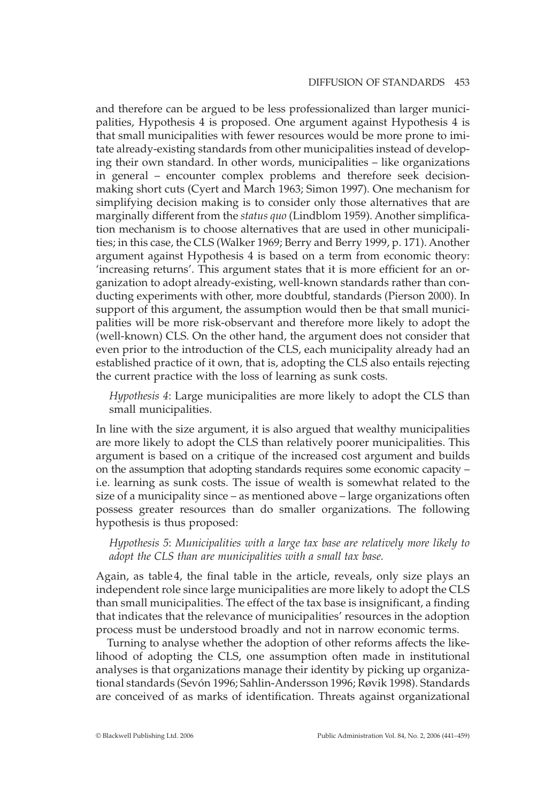and therefore can be argued to be less professionalized than larger municipalities, Hypothesis 4 is proposed. One argument against Hypothesis 4 is that small municipalities with fewer resources would be more prone to imitate already-existing standards from other municipalities instead of developing their own standard. In other words, municipalities – like organizations in general – encounter complex problems and therefore seek decisionmaking short cuts (Cyert and March 1963; Simon 1997). One mechanism for simplifying decision making is to consider only those alternatives that are marginally different from the *status quo* (Lindblom 1959). Another simplification mechanism is to choose alternatives that are used in other municipalities; in this case, the CLS ( Walker 1969; Berry and Berry 1999 , p. 171). Another argument against Hypothesis 4 is based on a term from economic theory: 'increasing returns'. This argument states that it is more efficient for an organization to adopt already-existing, well-known standards rather than conducting experiments with other, more doubtful, standards (Pierson 2000). In support of this argument, the assumption would then be that small municipalities will be more risk-observant and therefore more likely to adopt the (well-known) CLS. On the other hand, the argument does not consider that even prior to the introduction of the CLS, each municipality already had an established practice of it own, that is, adopting the CLS also entails rejecting the current practice with the loss of learning as sunk costs.

*Hypothesis 4* : Large municipalities are more likely to adopt the CLS than small municipalities.

 In line with the size argument, it is also argued that wealthy municipalities are more likely to adopt the CLS than relatively poorer municipalities. This argument is based on a critique of the increased cost argument and builds on the assumption that adopting standards requires some economic capacity – i.e. learning as sunk costs. The issue of wealth is somewhat related to the size of a municipality since – as mentioned above – large organizations often possess greater resources than do smaller organizations. The following hypothesis is thus proposed:

*Hypothesis 5*: *Municipalities with a large tax base are relatively more likely to adopt the CLS than are municipalities with a small tax base.*

Again, as table 4, the final table in the article, reveals, only size plays an independent role since large municipalities are more likely to adopt the CLS than small municipalities. The effect of the tax base is insignificant, a finding that indicates that the relevance of municipalities' resources in the adoption process must be understood broadly and not in narrow economic terms.

 Turning to analyse whether the adoption of other reforms affects the likelihood of adopting the CLS, one assumption often made in institutional analyses is that organizations manage their identity by picking up organizational standards (Sevón 1996; Sahlin-Andersson 1996; Røvik 1998). Standards are conceived of as marks of identification. Threats against organizational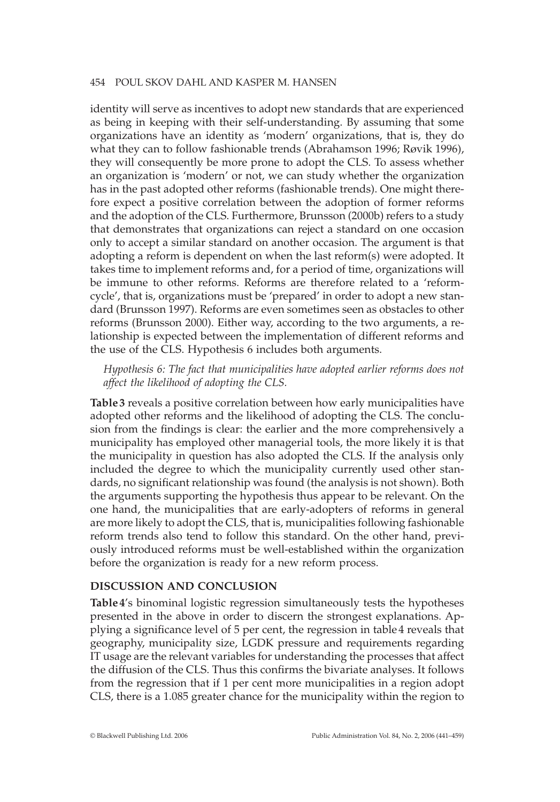identity will serve as incentives to adopt new standards that are experienced as being in keeping with their self-understanding. By assuming that some organizations have an identity as 'modern' organizations, that is, they do what they can to follow fashionable trends (Abrahamson 1996; Røvik 1996), they will consequently be more prone to adopt the CLS. To assess whether an organization is 'modern' or not, we can study whether the organization has in the past adopted other reforms (fashionable trends). One might therefore expect a positive correlation between the adoption of former reforms and the adoption of the CLS. Furthermore, Brunsson (2000b) refers to a study that demonstrates that organizations can reject a standard on one occasion only to accept a similar standard on another occasion. The argument is that adopting a reform is dependent on when the last reform(s) were adopted. It takes time to implement reforms and, for a period of time, organizations will be immune to other reforms. Reforms are therefore related to a 'reformcycle', that is, organizations must be 'prepared' in order to adopt a new standard (Brunsson 1997). Reforms are even sometimes seen as obstacles to other reforms (Brunsson 2000). Either way, according to the two arguments, a relationship is expected between the implementation of different reforms and the use of the CLS. Hypothesis 6 includes both arguments.

*Hypothesis 6: The fact that municipalities have adopted earlier reforms does not affect the likelihood of adopting the CLS.*

 **Table 3** reveals a positive correlation between how early municipalities have adopted other reforms and the likelihood of adopting the CLS. The conclusion from the findings is clear: the earlier and the more comprehensively a municipality has employed other managerial tools, the more likely it is that the municipality in question has also adopted the CLS. If the analysis only included the degree to which the municipality currently used other standards, no significant relationship was found (the analysis is not shown). Both the arguments supporting the hypothesis thus appear to be relevant. On the one hand, the municipalities that are early-adopters of reforms in general are more likely to adopt the CLS, that is, municipalities following fashionable reform trends also tend to follow this standard. On the other hand, previously introduced reforms must be well-established within the organization before the organization is ready for a new reform process.

# **DISCUSSION AND CONCLUSION**

**Table 4's binominal logistic regression simultaneously tests the hypotheses** presented in the above in order to discern the strongest explanations. Applying a significance level of 5 per cent, the regression in table 4 reveals that geography, municipality size, LGDK pressure and requirements regarding IT usage are the relevant variables for understanding the processes that affect the diffusion of the CLS. Thus this confirms the bivariate analyses. It follows from the regression that if 1 per cent more municipalities in a region adopt CLS, there is a 1.085 greater chance for the municipality within the region to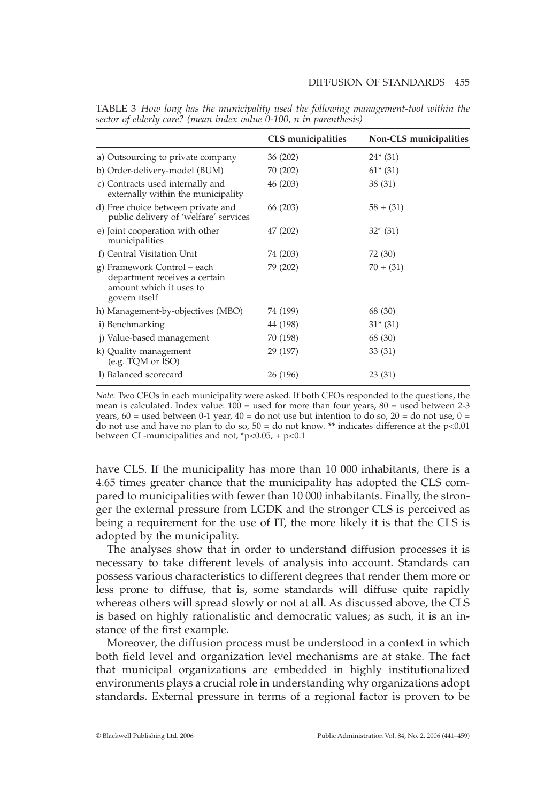|                                                                                                          | CLS municipalities | Non-CLS municipalities |
|----------------------------------------------------------------------------------------------------------|--------------------|------------------------|
| a) Outsourcing to private company                                                                        | 36 (202)           | $24*(31)$              |
| b) Order-delivery-model (BUM)                                                                            | 70 (202)           | $61*(31)$              |
| c) Contracts used internally and<br>externally within the municipality                                   | 46 (203)           | 38 (31)                |
| d) Free choice between private and<br>public delivery of 'welfare' services                              | 66 (203)           | $58 + (31)$            |
| e) Joint cooperation with other<br>municipalities                                                        | 47 (202)           | $32*(31)$              |
| f) Central Visitation Unit                                                                               | 74 (203)           | 72 (30)                |
| g) Framework Control – each<br>department receives a certain<br>amount which it uses to<br>govern itself | 79 (202)           | $70 + (31)$            |
| h) Management-by-objectives (MBO)                                                                        | 74 (199)           | 68 (30)                |
| i) Benchmarking                                                                                          | 44 (198)           | $31*(31)$              |
| j) Value-based management                                                                                | 70 (198)           | 68 (30)                |
| k) Quality management<br>(e.g. TQM or ISO)                                                               | 29 (197)           | 33 (31)                |
| 1) Balanced scorecard                                                                                    | 26 (196)           | 23 (31)                |

 TABLE 3 *How long has the municipality used the following management-tool within the sector of elderly care? (mean index value 0-100, n in parenthesis)*

*Note* : Two CEOs in each municipality were asked. If both CEOs responded to the questions, the mean is calculated. Index value:  $100 =$  used for more than four years,  $80 =$  used between 2-3 years,  $60 =$  used between 0-1 year,  $40 =$  do not use but intention to do so,  $20 =$  do not use,  $0 =$ do not use and have no plan to do so,  $50 =$  do not know. \*\* indicates difference at the  $p < 0.01$ between CL-municipalities and not,  $p<0.05$ , + p $<0.1$ 

have CLS. If the municipality has more than 10 000 inhabitants, there is a 4.65 times greater chance that the municipality has adopted the CLS compared to municipalities with fewer than 10 000 inhabitants. Finally, the stronger the external pressure from LGDK and the stronger CLS is perceived as being a requirement for the use of IT, the more likely it is that the CLS is adopted by the municipality.

 The analyses show that in order to understand diffusion processes it is necessary to take different levels of analysis into account. Standards can possess various characteristics to different degrees that render them more or less prone to diffuse, that is, some standards will diffuse quite rapidly whereas others will spread slowly or not at all. As discussed above, the CLS is based on highly rationalistic and democratic values; as such, it is an instance of the first example.

 Moreover, the diffusion process must be understood in a context in which both field level and organization level mechanisms are at stake. The fact that municipal organizations are embedded in highly institutionalized environments plays a crucial role in understanding why organizations adopt standards. External pressure in terms of a regional factor is proven to be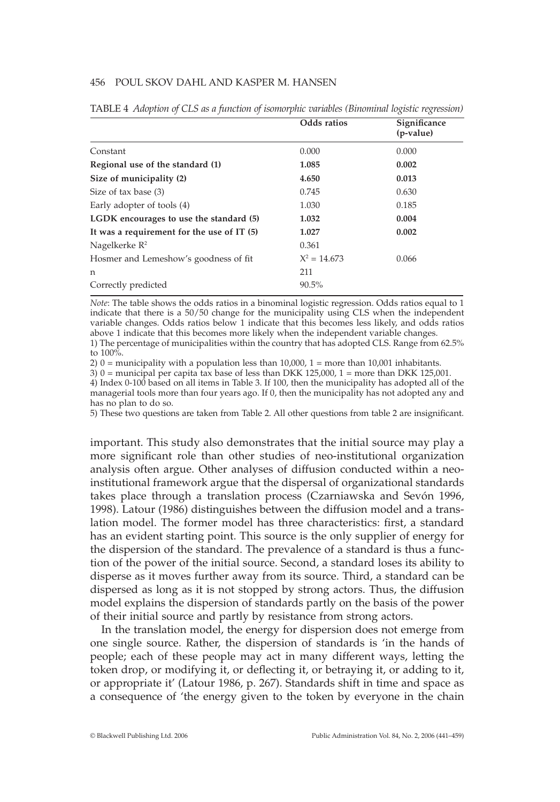|                                             | Odds ratios    | Significance<br>(p-value) |
|---------------------------------------------|----------------|---------------------------|
| Constant                                    | 0.000          | 0.000                     |
| Regional use of the standard (1)            | 1.085          | 0.002                     |
| Size of municipality (2)                    | 4.650          | 0.013                     |
| Size of tax base (3)                        | 0.745          | 0.630                     |
| Early adopter of tools (4)                  | 1.030          | 0.185                     |
| LGDK encourages to use the standard (5)     | 1.032          | 0.004                     |
| It was a requirement for the use of $IT(5)$ | 1.027          | 0.002                     |
| Nagelkerke $R^2$                            | 0.361          |                           |
| Hosmer and Lemeshow's goodness of fit       | $X^2 = 14.673$ | 0.066                     |
| n                                           | 211            |                           |
| Correctly predicted                         | 90.5%          |                           |

| TABLE 4 Adoption of CLS as a function of isomorphic variables (Binominal logistic regression) |  |  |  |  |  |  |  |
|-----------------------------------------------------------------------------------------------|--|--|--|--|--|--|--|
|-----------------------------------------------------------------------------------------------|--|--|--|--|--|--|--|

*Note* : The table shows the odds ratios in a binominal logistic regression. Odds ratios equal to 1 indicate that there is a 50/50 change for the municipality using CLS when the independent variable changes. Odds ratios below 1 indicate that this becomes less likely, and odds ratios above 1 indicate that this becomes more likely when the independent variable changes.

1) The percentage of municipalities within the country that has adopted CLS. Range from 62.5% to 100%.

2)  $0 =$  municipality with a population less than 10,000, 1 = more than 10,001 inhabitants.

3) 0 = municipal per capita tax base of less than DKK 125,000, 1 = more than DKK 125,001.

4) Index 0-100 based on all items in Table 3. If 100, then the municipality has adopted all of the managerial tools more than four years ago. If 0, then the municipality has not adopted any and has no plan to do so.

5) These two questions are taken from Table 2. All other questions from table 2 are insignificant.

important. This study also demonstrates that the initial source may play a more significant role than other studies of neo-institutional organization analysis often argue. Other analyses of diffusion conducted within a neoinstitutional framework argue that the dispersal of organizational standards takes place through a translation process (Czarniawska and Sevón 1996, 1998). Latour (1986) distinguishes between the diffusion model and a translation model. The former model has three characteristics: first, a standard has an evident starting point. This source is the only supplier of energy for the dispersion of the standard. The prevalence of a standard is thus a function of the power of the initial source. Second, a standard loses its ability to disperse as it moves further away from its source. Third, a standard can be dispersed as long as it is not stopped by strong actors. Thus, the diffusion model explains the dispersion of standards partly on the basis of the power of their initial source and partly by resistance from strong actors.

 In the translation model, the energy for dispersion does not emerge from one single source. Rather, the dispersion of standards is 'in the hands of people; each of these people may act in many different ways, letting the token drop, or modifying it, or deflecting it, or betraying it, or adding to it, or appropriate it' (Latour 1986, p. 267). Standards shift in time and space as a consequence of 'the energy given to the token by everyone in the chain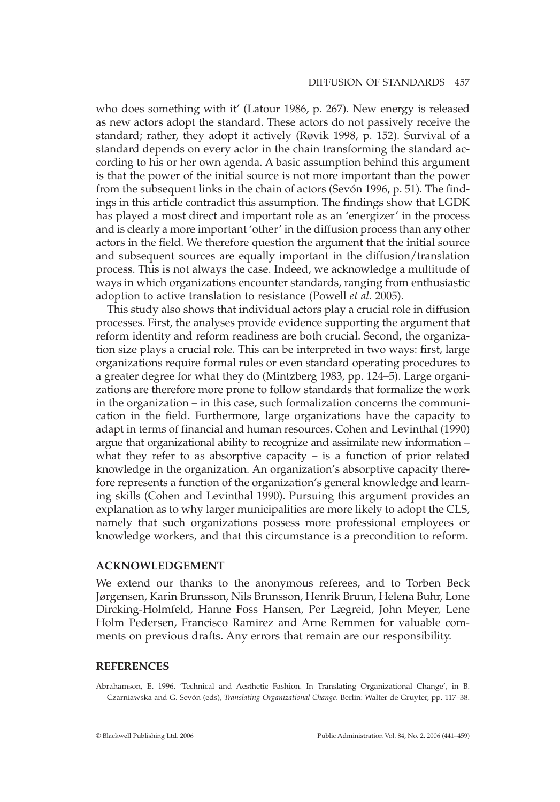who does something with it' (Latour 1986, p. 267). New energy is released as new actors adopt the standard. These actors do not passively receive the standard; rather, they adopt it actively (Røvik 1998, p. 152). Survival of a standard depends on every actor in the chain transforming the standard according to his or her own agenda. A basic assumption behind this argument is that the power of the initial source is not more important than the power from the subsequent links in the chain of actors (Sevón 1996, p. 51). The findings in this article contradict this assumption. The findings show that LGDK has played a most direct and important role as an 'energizer' in the process and is clearly a more important 'other' in the diffusion process than any other actors in the field. We therefore question the argument that the initial source and subsequent sources are equally important in the diffusion/translation process. This is not always the case. Indeed, we acknowledge a multitude of ways in which organizations encounter standards, ranging from enthusiastic adoption to active translation to resistance (Powell *et al.* 2005).

 This study also shows that individual actors play a crucial role in diffusion processes. First, the analyses provide evidence supporting the argument that reform identity and reform readiness are both crucial. Second, the organization size plays a crucial role. This can be interpreted in two ways: first, large organizations require formal rules or even standard operating procedures to a greater degree for what they do (Mintzberg 1983, pp. 124–5). Large organizations are therefore more prone to follow standards that formalize the work in the organization – in this case, such formalization concerns the communication in the field. Furthermore, large organizations have the capacity to adapt in terms of financial and human resources. Cohen and Levinthal (1990) argue that organizational ability to recognize and assimilate new information – what they refer to as absorptive capacity  $-$  is a function of prior related knowledge in the organization. An organization's absorptive capacity therefore represents a function of the organization's general knowledge and learning skills (Cohen and Levinthal 1990). Pursuing this argument provides an explanation as to why larger municipalities are more likely to adopt the CLS, namely that such organizations possess more professional employees or knowledge workers, and that this circumstance is a precondition to reform.

### **ACKNOWLEDGEMENT**

 We extend our thanks to the anonymous referees, and to Torben Beck Jørgensen, Karin Brunsson, Nils Brunsson, Henrik Bruun, Helena Buhr, Lone Dircking-Holmfeld, Hanne Foss Hansen, Per Lægreid, John Meyer, Lene Holm Pedersen, Francisco Ramirez and Arne Remmen for valuable comments on previous drafts. Any errors that remain are our responsibility.

### **REFERENCES**

Abrahamson, E. 1996. 'Technical and Aesthetic Fashion. In Translating Organizational Change', in B. Czarniawska and G. Sevón (eds), *Translating Organizational Change*. Berlin: Walter de Gruyter, pp. 117-38.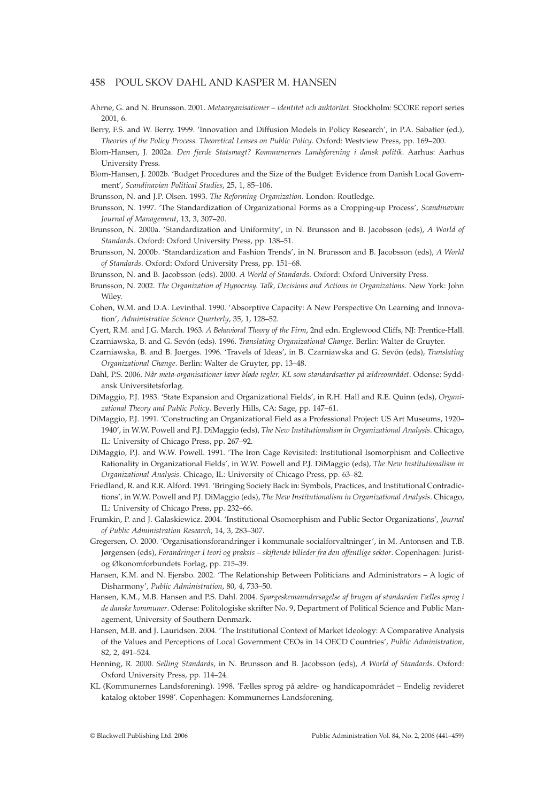#### 458 POUL SKOV DAHL AND KASPER M. HANSEN

- Ahrne , G . and N . Brunsson . 2001 . *Metaorganisationer identitet och auktoritet* . Stockholm : SCORE report series 2001.6.
- Berry, F.S. and W. Berry. 1999. 'Innovation and Diffusion Models in Policy Research', in P.A. Sabatier (ed.), *Theories of the Policy Process. Theoretical Lenses on Public Policy*. Oxford: Westview Press, pp. 169–200.
- Blom-Hansen , J . 2002a . *Den fjerde Statsmagt? Kommunernes Landsforening i dansk politik* . Aarhus : Aarhus University Press .
- Blom-Hansen, J. 2002b. 'Budget Procedures and the Size of the Budget: Evidence from Danish Local Government', Scandinavian Political Studies, 25, 1, 85-106.
- Brunsson, N. and J.P. Olsen. 1993. *The Reforming Organization*. London: Routledge.
- Brunsson, N. 1997. 'The Standardization of Organizational Forms as a Cropping-up Process', *Scandinavian* Journal of Management, 13, 3, 307-20.
- Brunsson, N. 2000a. 'Standardization and Uniformity', in N. Brunsson and B. Jacobsson (eds), A World of *Standards*. Oxford: Oxford University Press, pp. 138-51.
- Brunsson, N. 2000b. 'Standardization and Fashion Trends', in N. Brunsson and B. Jacobsson (eds), *A World* of Standards. Oxford: Oxford University Press, pp. 151-68.
- Brunsson, N. and B. Jacobsson (eds). 2000. *A World of Standards*. Oxford: Oxford University Press.
- Brunsson, N. 2002. *The Organization of Hypocrisy. Talk, Decisions and Actions in Organizations*. New York: John Wiley.
- Cohen, W.M. and D.A. Levinthal. 1990. 'Absorptive Capacity: A New Perspective On Learning and Innovation', Administrative Science Quarterly, 35, 1, 128-52.
- Cyert, R.M. and J.G. March. 1963. *A Behavioral Theory of the Firm*, 2nd edn. Englewood Cliffs, NJ: Prentice-Hall.
- Czarniawska , B . and G . Sevón ( eds ). 1996 . *Translating Organizational Change* . Berlin : Walter de Gruyter .
- Czarniawska , B . and B . Joerges . 1996 . ' Travels of Ideas ' , in B . Czarniawska and G . Sevón ( eds ), *Translating*  Organizational Change. Berlin: Walter de Gruyter, pp. 13-48.
- Dahl, P.S. 2006. Når meta-organisationer laver bløde regler. KL som standardsætter på ældreområdet. Odense: Syddansk Universitetsforlag.
- DiMaggio, P.J. 1983. 'State Expansion and Organizational Fields', in R.H. Hall and R.E. Quinn (eds), *Organi*zational Theory and Public Policy. Beverly Hills, CA: Sage, pp. 147-61.
- DiMaggio, P.J. 1991. 'Constructing an Organizational Field as a Professional Project: US Art Museums, 1920- 1940 ' , in W . W . Powell and P . J . DiMaggio ( eds ), *The New Institutionalism in Organizational Analysis* . Chicago, IL: University of Chicago Press, pp. 267-92.
- DiMaggio, P.J. and W.W. Powell. 1991. 'The Iron Cage Revisited: Institutional Isomorphism and Collective Rationality in Organizational Fields', in W.W. Powell and P.J. DiMaggio (eds), *The New Institutionalism in Organizational Analysis*. Chicago, IL: University of Chicago Press, pp. 63-82.
- Friedland, R. and R.R. Alford. 1991. 'Bringing Society Back in: Symbols, Practices, and Institutional Contradictions', in W.W. Powell and P.J. DiMaggio (eds), *The New Institutionalism in Organizational Analysis*. Chicago, IL: University of Chicago Press, pp. 232-66.
- Frumkin, P. and J. Galaskiewicz. 2004. 'Institutional Osomorphism and Public Sector Organizations', *Journal* of Public Administration Research, 14, 3, 283-307.
- Gregersen, O. 2000. 'Organisationsforandringer i kommunale socialforvaltninger', in M. Antonsen and T.B. Jørgensen (eds), *Forandringer I teori og praksis – skiftende billeder fra den offentlige sektor*. Copenhagen: Juristog Økonomforbundets Forlag, pp. 215-39.
- Hansen, K.M. and N. Ejersbo. 2002. 'The Relationship Between Politicians and Administrators A logic of Disharmony', Public Administration, 80, 4, 733-50.
- Hansen, K.M., M.B. Hansen and P.S. Dahl. 2004. Spørgeskemaundersøgelse af brugen af standarden Fælles sprog i *de danske kommuner* . Odense : Politologiske skrifter No. 9, Department of Political Science and Public Management, University of Southern Denmark.
- Hansen, M.B. and J. Lauridsen. 2004. 'The Institutional Context of Market Ideology: A Comparative Analysis of the Values and Perceptions of Local Government CEOs in 14 OECD Countries', *Public Administration*, 82, 2, 491-524.
- Henning, R. 2000. *Selling Standards*, in N. Brunsson and B. Jacobsson (eds), A World of Standards. Oxford: Oxford University Press, pp. 114-24.
- KL (Kommunernes Landsforening) . 1998 . ' Fælles sprog på ældre- og handicapområdet Endelig revideret katalog oktober 1998'. Copenhagen: Kommunernes Landsforening.